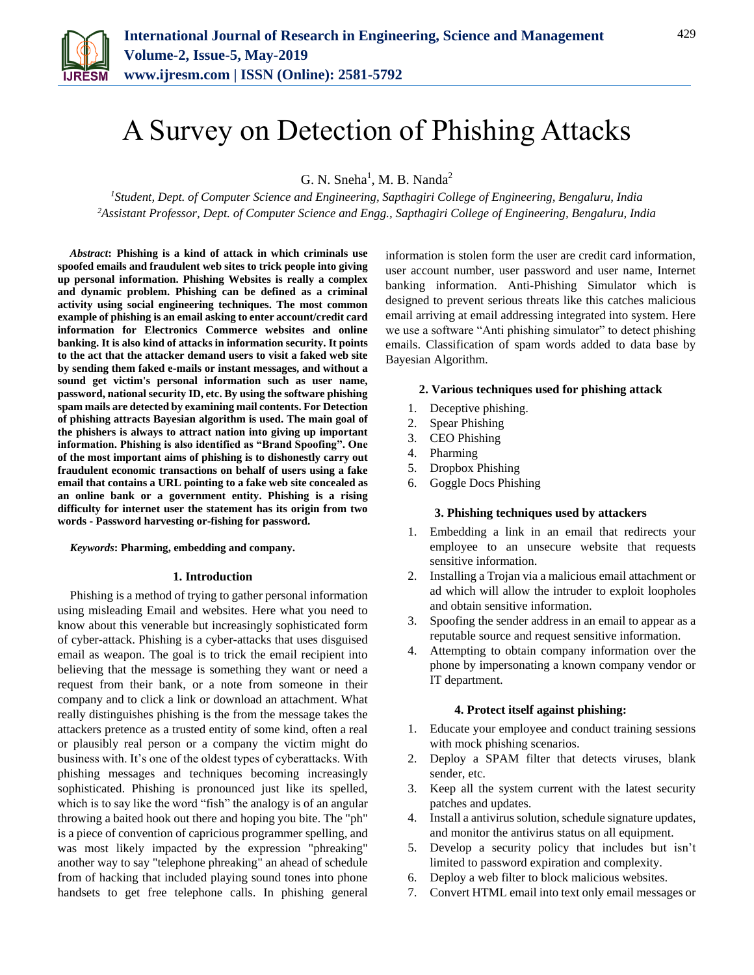

# A Survey on Detection of Phishing Attacks

G. N. Sneha<sup>1</sup>, M. B. Nanda<sup>2</sup>

*<sup>1</sup>Student, Dept. of Computer Science and Engineering, Sapthagiri College of Engineering, Bengaluru, India 2Assistant Professor, Dept. of Computer Science and Engg., Sapthagiri College of Engineering, Bengaluru, India*

*Abstract***: Phishing is a kind of attack in which criminals use spoofed emails and fraudulent web sites to trick people into giving up personal information. Phishing Websites is really a complex and dynamic problem. Phishing can be defined as a criminal activity using social engineering techniques. The most common example of phishing is an email asking to enter account/credit card information for Electronics Commerce websites and online banking. It is also kind of attacks in information security. It points to the act that the attacker demand users to visit a faked web site by sending them faked e-mails or instant messages, and without a sound get victim's personal information such as user name, password, national security ID, etc. By using the software phishing spam mails are detected by examining mail contents. For Detection of phishing attracts Bayesian algorithm is used. The main goal of the phishers is always to attract nation into giving up important information. Phishing is also identified as "Brand Spoofing". One of the most important aims of phishing is to dishonestly carry out fraudulent economic transactions on behalf of users using a fake email that contains a URL pointing to a fake web site concealed as an online bank or a government entity. Phishing is a rising difficulty for internet user the statement has its origin from two words - Password harvesting or-fishing for password.**

*Keywords***: Pharming, embedding and company.**

#### **1. Introduction**

Phishing is a method of trying to gather personal information using misleading Email and websites. Here what you need to know about this venerable but increasingly sophisticated form of cyber-attack. Phishing is a cyber-attacks that uses disguised email as weapon. The goal is to trick the email recipient into believing that the message is something they want or need a request from their bank, or a note from someone in their company and to click a link or download an attachment. What really distinguishes phishing is the from the message takes the attackers pretence as a trusted entity of some kind, often a real or plausibly real person or a company the victim might do business with. It's one of the oldest types of cyberattacks. With phishing messages and techniques becoming increasingly sophisticated. Phishing is pronounced just like its spelled, which is to say like the word "fish" the analogy is of an angular throwing a baited hook out there and hoping you bite. The "ph" is a piece of convention of capricious programmer spelling, and was most likely impacted by the expression "phreaking" another way to say "telephone phreaking" an ahead of schedule from of hacking that included playing sound tones into phone handsets to get free telephone calls. In phishing general information is stolen form the user are credit card information, user account number, user password and user name, Internet banking information. Anti-Phishing Simulator which is designed to prevent serious threats like this catches malicious email arriving at email addressing integrated into system. Here we use a software "Anti phishing simulator" to detect phishing emails. Classification of spam words added to data base by Bayesian Algorithm.

#### **2. Various techniques used for phishing attack**

- 1. Deceptive phishing.
- 2. Spear Phishing
- 3. CEO Phishing
- 4. Pharming
- 5. Dropbox Phishing
- 6. Goggle Docs Phishing

#### **3. Phishing techniques used by attackers**

- 1. Embedding a link in an email that redirects your employee to an unsecure website that requests sensitive information.
- 2. Installing a Trojan via a malicious email attachment or ad which will allow the intruder to exploit loopholes and obtain sensitive information.
- 3. Spoofing the sender address in an email to appear as a reputable source and request sensitive information.
- 4. Attempting to obtain company information over the phone by impersonating a known company vendor or IT department.

#### **4. Protect itself against phishing:**

- 1. Educate your employee and conduct training sessions with mock phishing scenarios.
- 2. Deploy a SPAM filter that detects viruses, blank sender, etc.
- 3. Keep all the system current with the latest security patches and updates.
- 4. Install a antivirus solution, schedule signature updates, and monitor the antivirus status on all equipment.
- 5. Develop a security policy that includes but isn't limited to password expiration and complexity.
- 6. Deploy a web filter to block malicious websites.
- 7. Convert HTML email into text only email messages or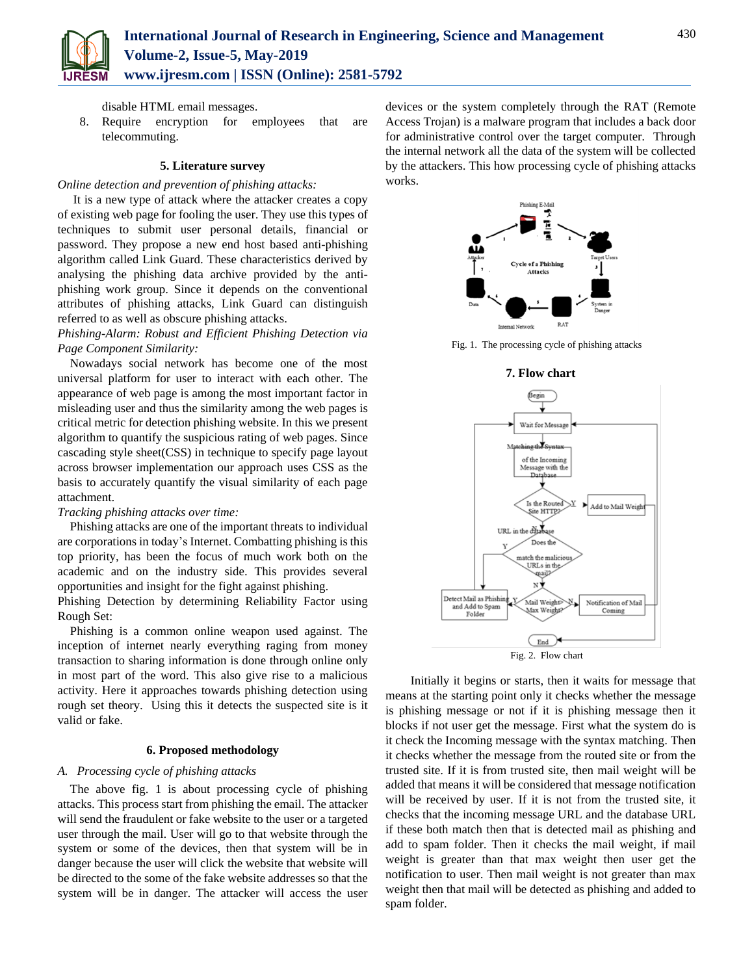

disable HTML email messages.

8. Require encryption for employees that are telecommuting.

#### **5. Literature survey**

## *Online detection and prevention of phishing attacks:*

It is a new type of attack where the attacker creates a copy of existing web page for fooling the user. They use this types of techniques to submit user personal details, financial or password. They propose a new end host based anti-phishing algorithm called Link Guard. These characteristics derived by analysing the phishing data archive provided by the antiphishing work group. Since it depends on the conventional attributes of phishing attacks, Link Guard can distinguish referred to as well as obscure phishing attacks.

*Phishing-Alarm: Robust and Efficient Phishing Detection via Page Component Similarity:*

Nowadays social network has become one of the most universal platform for user to interact with each other. The appearance of web page is among the most important factor in misleading user and thus the similarity among the web pages is critical metric for detection phishing website. In this we present algorithm to quantify the suspicious rating of web pages. Since cascading style sheet(CSS) in technique to specify page layout across browser implementation our approach uses CSS as the basis to accurately quantify the visual similarity of each page attachment.

## *Tracking phishing attacks over time:*

Phishing attacks are one of the important threats to individual are corporations in today's Internet. Combatting phishing is this top priority, has been the focus of much work both on the academic and on the industry side. This provides several opportunities and insight for the fight against phishing.

Phishing Detection by determining Reliability Factor using Rough Set:

Phishing is a common online weapon used against. The inception of internet nearly everything raging from money transaction to sharing information is done through online only in most part of the word. This also give rise to a malicious activity. Here it approaches towards phishing detection using rough set theory. Using this it detects the suspected site is it valid or fake.

# **6. Proposed methodology**

# *A. Processing cycle of phishing attacks*

The above fig. 1 is about processing cycle of phishing attacks. This process start from phishing the email. The attacker will send the fraudulent or fake website to the user or a targeted user through the mail. User will go to that website through the system or some of the devices, then that system will be in danger because the user will click the website that website will be directed to the some of the fake website addresses so that the system will be in danger. The attacker will access the user

devices or the system completely through the RAT (Remote Access Trojan) is a malware program that includes a back door for administrative control over the target computer. Through the internal network all the data of the system will be collected by the attackers. This how processing cycle of phishing attacks works.



Fig. 1. The processing cycle of phishing attacks



Initially it begins or starts, then it waits for message that means at the starting point only it checks whether the message is phishing message or not if it is phishing message then it blocks if not user get the message. First what the system do is it check the Incoming message with the syntax matching. Then it checks whether the message from the routed site or from the trusted site. If it is from trusted site, then mail weight will be added that means it will be considered that message notification will be received by user. If it is not from the trusted site, it checks that the incoming message URL and the database URL if these both match then that is detected mail as phishing and add to spam folder. Then it checks the mail weight, if mail weight is greater than that max weight then user get the notification to user. Then mail weight is not greater than max weight then that mail will be detected as phishing and added to spam folder.